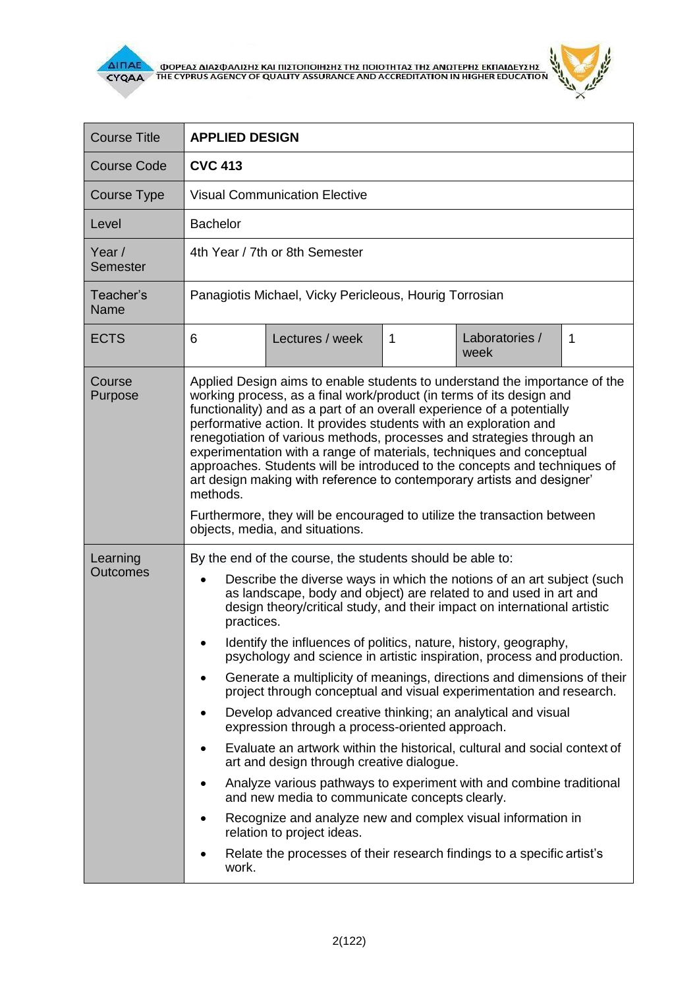



| <b>Course Title</b>         | <b>APPLIED DESIGN</b>                                                                                                                                                                                                                                                                                                                                                                                                                                                                                                                                                                                                                                                                                                                                                                                                                                                                                                                                                                                                                                                                                                                                                  |  |  |  |
|-----------------------------|------------------------------------------------------------------------------------------------------------------------------------------------------------------------------------------------------------------------------------------------------------------------------------------------------------------------------------------------------------------------------------------------------------------------------------------------------------------------------------------------------------------------------------------------------------------------------------------------------------------------------------------------------------------------------------------------------------------------------------------------------------------------------------------------------------------------------------------------------------------------------------------------------------------------------------------------------------------------------------------------------------------------------------------------------------------------------------------------------------------------------------------------------------------------|--|--|--|
| <b>Course Code</b>          | <b>CVC 413</b>                                                                                                                                                                                                                                                                                                                                                                                                                                                                                                                                                                                                                                                                                                                                                                                                                                                                                                                                                                                                                                                                                                                                                         |  |  |  |
| <b>Course Type</b>          | <b>Visual Communication Elective</b>                                                                                                                                                                                                                                                                                                                                                                                                                                                                                                                                                                                                                                                                                                                                                                                                                                                                                                                                                                                                                                                                                                                                   |  |  |  |
| Level                       | <b>Bachelor</b>                                                                                                                                                                                                                                                                                                                                                                                                                                                                                                                                                                                                                                                                                                                                                                                                                                                                                                                                                                                                                                                                                                                                                        |  |  |  |
| Year /<br>Semester          | 4th Year / 7th or 8th Semester                                                                                                                                                                                                                                                                                                                                                                                                                                                                                                                                                                                                                                                                                                                                                                                                                                                                                                                                                                                                                                                                                                                                         |  |  |  |
| Teacher's<br>Name           | Panagiotis Michael, Vicky Pericleous, Hourig Torrosian                                                                                                                                                                                                                                                                                                                                                                                                                                                                                                                                                                                                                                                                                                                                                                                                                                                                                                                                                                                                                                                                                                                 |  |  |  |
| <b>ECTS</b>                 | 6<br>Lectures / week<br>Laboratories /<br>$\mathbf 1$<br>1<br>week                                                                                                                                                                                                                                                                                                                                                                                                                                                                                                                                                                                                                                                                                                                                                                                                                                                                                                                                                                                                                                                                                                     |  |  |  |
| Course<br>Purpose           | Applied Design aims to enable students to understand the importance of the<br>working process, as a final work/product (in terms of its design and<br>functionality) and as a part of an overall experience of a potentially<br>performative action. It provides students with an exploration and<br>renegotiation of various methods, processes and strategies through an<br>experimentation with a range of materials, techniques and conceptual<br>approaches. Students will be introduced to the concepts and techniques of<br>art design making with reference to contemporary artists and designer'<br>methods.<br>Furthermore, they will be encouraged to utilize the transaction between<br>objects, media, and situations.                                                                                                                                                                                                                                                                                                                                                                                                                                    |  |  |  |
| Learning<br><b>Outcomes</b> | By the end of the course, the students should be able to:<br>Describe the diverse ways in which the notions of an art subject (such<br>$\bullet$<br>as landscape, body and object) are related to and used in art and<br>design theory/critical study, and their impact on international artistic<br>practices.<br>Identify the influences of politics, nature, history, geography,<br>psychology and science in artistic inspiration, process and production.<br>Generate a multiplicity of meanings, directions and dimensions of their<br>project through conceptual and visual experimentation and research.<br>Develop advanced creative thinking; an analytical and visual<br>expression through a process-oriented approach.<br>Evaluate an artwork within the historical, cultural and social context of<br>art and design through creative dialogue.<br>Analyze various pathways to experiment with and combine traditional<br>and new media to communicate concepts clearly.<br>Recognize and analyze new and complex visual information in<br>relation to project ideas.<br>Relate the processes of their research findings to a specific artist's<br>work. |  |  |  |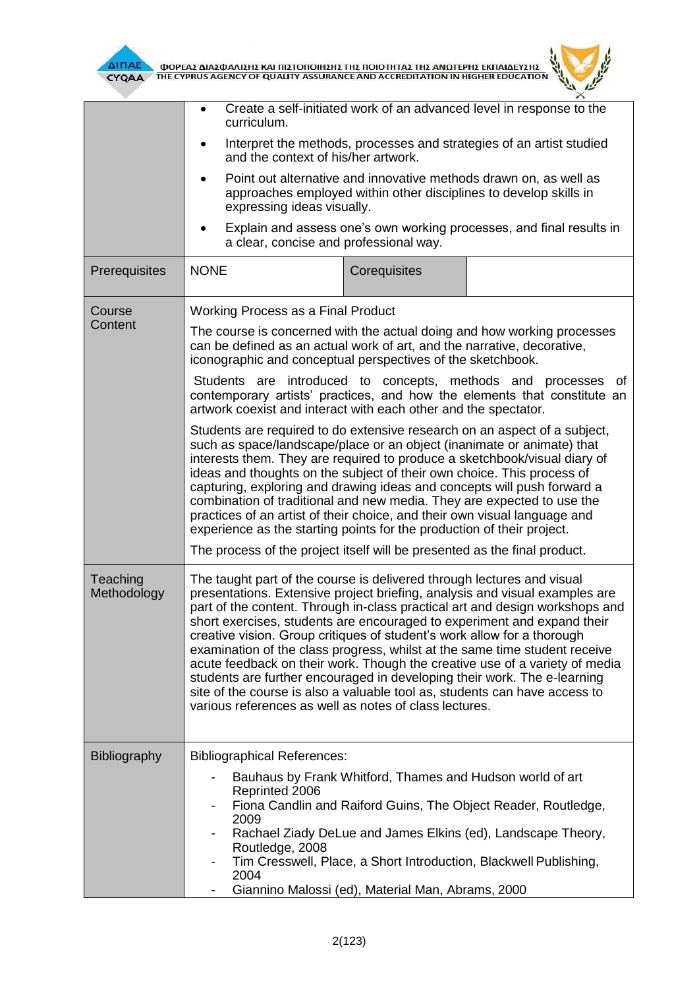



| Create a self-initiated work of an advanced level in response to the<br>curriculum.<br>Interpret the methods, processes and strategies of an artist studied<br>and the context of his/her artwork.                                                                                                                                                                                                                                                                                                                                                                                                                                                                                                                                                                           |              |                                                                                                                                                                                                                                                                                                                                                                                                                                                                                                                                                                           |  |
|------------------------------------------------------------------------------------------------------------------------------------------------------------------------------------------------------------------------------------------------------------------------------------------------------------------------------------------------------------------------------------------------------------------------------------------------------------------------------------------------------------------------------------------------------------------------------------------------------------------------------------------------------------------------------------------------------------------------------------------------------------------------------|--------------|---------------------------------------------------------------------------------------------------------------------------------------------------------------------------------------------------------------------------------------------------------------------------------------------------------------------------------------------------------------------------------------------------------------------------------------------------------------------------------------------------------------------------------------------------------------------------|--|
|                                                                                                                                                                                                                                                                                                                                                                                                                                                                                                                                                                                                                                                                                                                                                                              |              |                                                                                                                                                                                                                                                                                                                                                                                                                                                                                                                                                                           |  |
| Explain and assess one's own working processes, and final results in<br>a clear, concise and professional way.                                                                                                                                                                                                                                                                                                                                                                                                                                                                                                                                                                                                                                                               |              |                                                                                                                                                                                                                                                                                                                                                                                                                                                                                                                                                                           |  |
| <b>NONE</b>                                                                                                                                                                                                                                                                                                                                                                                                                                                                                                                                                                                                                                                                                                                                                                  | Corequisites |                                                                                                                                                                                                                                                                                                                                                                                                                                                                                                                                                                           |  |
|                                                                                                                                                                                                                                                                                                                                                                                                                                                                                                                                                                                                                                                                                                                                                                              |              |                                                                                                                                                                                                                                                                                                                                                                                                                                                                                                                                                                           |  |
| The course is concerned with the actual doing and how working processes<br>can be defined as an actual work of art, and the narrative, decorative,<br>iconographic and conceptual perspectives of the sketchbook.                                                                                                                                                                                                                                                                                                                                                                                                                                                                                                                                                            |              |                                                                                                                                                                                                                                                                                                                                                                                                                                                                                                                                                                           |  |
| Students are introduced to concepts, methods and processes of<br>contemporary artists' practices, and how the elements that constitute an<br>artwork coexist and interact with each other and the spectator.                                                                                                                                                                                                                                                                                                                                                                                                                                                                                                                                                                 |              |                                                                                                                                                                                                                                                                                                                                                                                                                                                                                                                                                                           |  |
| Students are required to do extensive research on an aspect of a subject,<br>such as space/landscape/place or an object (inanimate or animate) that<br>interests them. They are required to produce a sketchbook/visual diary of<br>ideas and thoughts on the subject of their own choice. This process of<br>capturing, exploring and drawing ideas and concepts will push forward a<br>combination of traditional and new media. They are expected to use the<br>practices of an artist of their choice, and their own visual language and<br>experience as the starting points for the production of their project.                                                                                                                                                       |              |                                                                                                                                                                                                                                                                                                                                                                                                                                                                                                                                                                           |  |
| The process of the project itself will be presented as the final product.                                                                                                                                                                                                                                                                                                                                                                                                                                                                                                                                                                                                                                                                                                    |              |                                                                                                                                                                                                                                                                                                                                                                                                                                                                                                                                                                           |  |
| The taught part of the course is delivered through lectures and visual<br>presentations. Extensive project briefing, analysis and visual examples are<br>part of the content. Through in-class practical art and design workshops and<br>short exercises, students are encouraged to experiment and expand their<br>creative vision. Group critiques of student's work allow for a thorough<br>examination of the class progress, whilst at the same time student receive<br>acute feedback on their work. Though the creative use of a variety of media<br>students are further encouraged in developing their work. The e-learning<br>site of the course is also a valuable tool as, students can have access to<br>various references as well as notes of class lectures. |              |                                                                                                                                                                                                                                                                                                                                                                                                                                                                                                                                                                           |  |
|                                                                                                                                                                                                                                                                                                                                                                                                                                                                                                                                                                                                                                                                                                                                                                              |              |                                                                                                                                                                                                                                                                                                                                                                                                                                                                                                                                                                           |  |
| Reprinted 2006<br>2009<br>Routledge, 2008<br>2004                                                                                                                                                                                                                                                                                                                                                                                                                                                                                                                                                                                                                                                                                                                            |              |                                                                                                                                                                                                                                                                                                                                                                                                                                                                                                                                                                           |  |
|                                                                                                                                                                                                                                                                                                                                                                                                                                                                                                                                                                                                                                                                                                                                                                              |              | Point out alternative and innovative methods drawn on, as well as<br>approaches employed within other disciplines to develop skills in<br>expressing ideas visually.<br>Working Process as a Final Product<br><b>Bibliographical References:</b><br>Bauhaus by Frank Whitford, Thames and Hudson world of art<br>Fiona Candlin and Raiford Guins, The Object Reader, Routledge,<br>Rachael Ziady DeLue and James Elkins (ed), Landscape Theory,<br>Tim Cresswell, Place, a Short Introduction, Blackwell Publishing,<br>Giannino Malossi (ed), Material Man, Abrams, 2000 |  |